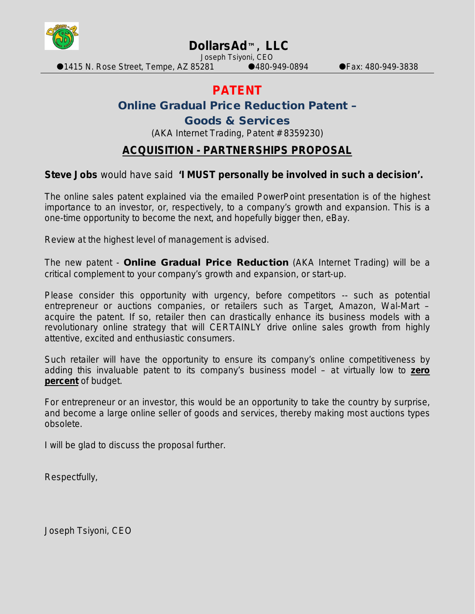

## **DollarsAd™, LLC**

Joseph Tsiyoni, CEO

 $\bullet$ 1415 N. Rose Street, Tempe, AZ 85281  $\bullet$ 480-949-0894  $\bullet$  Fax: 480-949-3838

# **PATENT**

### Online Gradual Price Reduction Patent –

#### Goods & Services

(AKA Internet Trading, Patent # 8359230)

### **ACQUISITION - PARTNERSHIPS PROPOSAL**

#### **Steve Jobs** would have said **'I MUST personally be involved in such a decision'.**

The online sales patent explained via the emailed PowerPoint presentation is of the highest importance to an investor, or, respectively, to a company's growth and expansion. This is a one-time opportunity to become the next, and hopefully bigger then, eBay.

Review at the highest level of management is advised.

The new patent - Online Gradual Price Reduction (AKA Internet Trading) will be a critical complement to your company's growth and expansion, or start-up.

Please consider this opportunity with urgency, before competitors -- such as potential entrepreneur or auctions companies, or retailers such as Target, Amazon, Wal-Mart – acquire the patent. If so, retailer then can drastically enhance its business models with a revolutionary online strategy that will CERTAINLY drive online sales growth from highly attentive, excited and enthusiastic consumers.

Such retailer will have the opportunity to ensure its company's online competitiveness by adding this invaluable patent to its company's business model – at virtually low to **zero percent** of budget.

For entrepreneur or an investor, this would be an opportunity to take the country by surprise, and become a large online seller of goods and services, thereby making most auctions types obsolete.

I will be glad to discuss the proposal further.

Respectfully,

Joseph Tsiyoni, CEO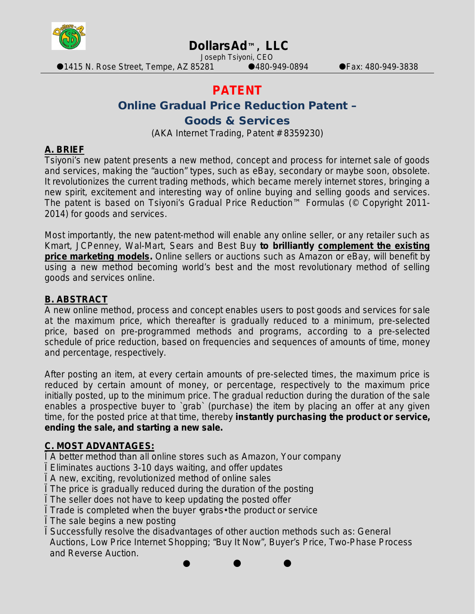

# **DollarsAd™, LLC**

Joseph Tsiyoni, CEO

●1415 N. Rose Street, Tempe, AZ 85281 ●480-949-0894 ● Fax: 480-949-3838

# **PATENT**

### Online Gradual Price Reduction Patent –

#### Goods & Services

(AKA Internet Trading, Patent # 8359230)

#### **A. BRIEF**

Tsiyoni's new patent presents a new method, concept and process for internet sale of goods and services, making the "auction" types, such as eBay, secondary or maybe soon, obsolete. It revolutionizes the current trading methods, which became merely internet stores, bringing a new spirit, excitement and interesting way of online buying and selling goods and services. The patent is based on Tsiyoni's Gradual Price Reduction™ Formulas (© Copyright 2011- 2014) for goods and services.

Most importantly, the new patent-method will enable any online seller, or any retailer such as Kmart, JCPenney, Wal-Mart, Sears and Best Buy **to brilliantly complement the existing price marketing models.** Online sellers or auctions such as Amazon or eBay, will benefit by using a new method becoming world's best and the most revolutionary method of selling goods and services online.

#### **B. ABSTRACT**

A new online method, process and concept enables users to post goods and services for sale at the maximum price, which thereafter is gradually reduced to a minimum, pre-selected price, based on pre-programmed methods and programs, according to a pre-selected schedule of price reduction, based on frequencies and sequences of amounts of time, money and percentage, respectively.

After posting an item, at every certain amounts of pre-selected times, the maximum price is reduced by certain amount of money, or percentage, respectively to the maximum price initially posted, up to the minimum price. The gradual reduction during the duration of the sale enables a prospective buyer to `grab` (purchase) the item by placing an offer at any given time, for the posted price at that time, thereby **instantly purchasing the product or service, ending the sale, and starting a new sale.** 

### **C. MOST ADVANTAGES:**

Ï A better method than all online stores such as Amazon, Your company

Eliminates auctions 3-10 days waiting, and offer updates

Ï A new, exciting, revolutionized method of online sales

Ï The price is gradually reduced during the duration of the posting

Ï The seller does not have to keep updating the posted offer

Ï Trade is completed when the buyer •grabs• the product or service

The sale begins a new posting

Ï Successfully resolve the disadvantages of other auction methods such as: General Auctions, Low Price Internet Shopping; "Buy It Now", Buyer's Price, Two-Phase Process and Reverse Auction.

 $\bullet$   $\bullet$   $\bullet$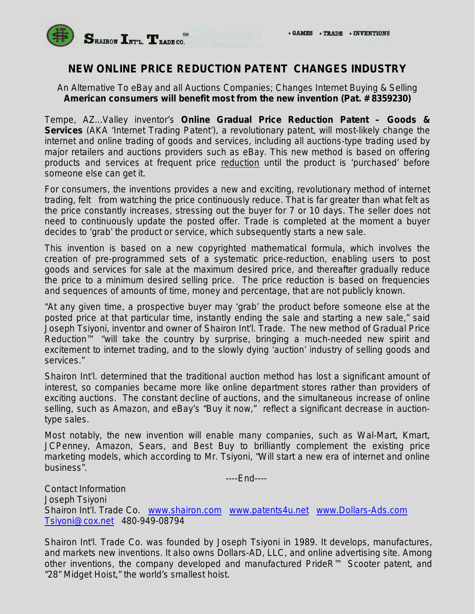

### **NEW ONLINE PRICE REDUCTION PATENT CHANGES INDUSTRY**

An Alternative To eBay and all Auctions Companies; Changes Internet Buying & Selling **American consumers will benefit most from the new invention (Pat. # 8359230)**

Tempe, AZ...Valley inventor's **Online Gradual Price Reduction Patent – Goods & Services** (AKA 'Internet Trading Patent'), a revolutionary patent, will most-likely change the internet and online trading of goods and services, including all auctions-type trading used by major retailers and auctions providers such as eBay. This new method is based on offering products and services at frequent price reduction until the product is 'purchased' before someone else can get it.

For consumers, the inventions provides a new and exciting, revolutionary method of internet trading, felt from watching the price continuously reduce. That is far greater than what felt as the price constantly increases, stressing out the buyer for 7 or 10 days. The seller does not need to continuously update the posted offer. Trade is completed at the moment a buyer decides to 'grab' the product or service, which subsequently starts a new sale.

This invention is based on a new copyrighted mathematical formula, which involves the creation of pre-programmed sets of a systematic price-reduction, enabling users to post goods and services for sale at the maximum desired price, and thereafter gradually reduce the price to a minimum desired selling price. The price reduction is based on frequencies and sequences of amounts of time, money and percentage, that are not publicly known.

"At any given time, a prospective buyer may 'grab' the product before someone else at the posted price at that particular time, instantly ending the sale and starting a new sale," said Joseph Tsiyoni, inventor and owner of Shairon Int'l. Trade. The new method of Gradual Price Reduction<sup>™</sup> "will take the country by surprise, bringing a much-needed new spirit and excitement to internet trading, and to the slowly dying 'auction' industry of selling goods and services."

Shairon Int'l. determined that the traditional auction method has lost a significant amount of interest, so companies became more like online department stores rather than providers of exciting auctions. The constant decline of auctions, and the simultaneous increase of online selling, such as Amazon, and eBay's "Buy it now," reflect a significant decrease in auctiontype sales.

Most notably, the new invention will enable many companies, such as Wal-Mart, Kmart, JCPenney, Amazon, Sears, and Best Buy to brilliantly complement the existing price marketing models, which according to Mr. Tsiyoni, "Will start a new era of internet and online business".

----End----

Contact Information Joseph Tsiyoni Shairon Int'l. Trade Co. [www.shairon.com](http://www.shairon.com/) [www.patents4u.net](http://www.patents4u.net/) [www.Dollars-Ads.com](http://www.dollars-ads.com/) [Tsiyoni@cox.net](mailto:Tsiyoni@cox.net) 480-949-08794

*Shairon Int'l. Trade Co. was founded by Joseph Tsiyoni in 1989. It develops, manufactures, and markets new inventions. It also owns Dollars-AD, LLC, and online advertising site. Among other inventions, the company developed and manufactured PrideR™ Scooter patent, and "28" Midget Hoist," the world's smallest hoist.*